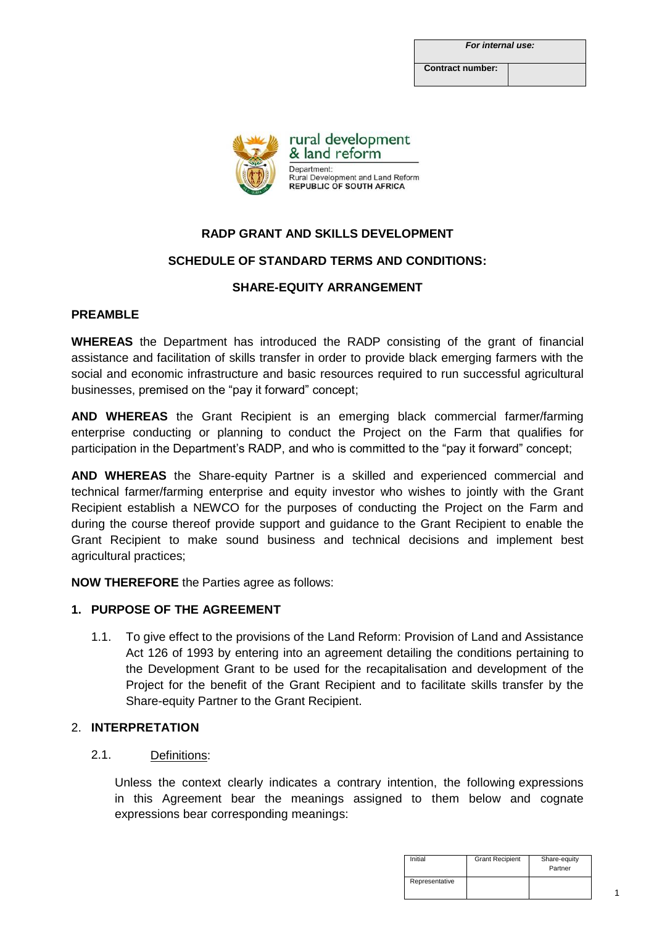**Contract number:**



# **RADP GRANT AND SKILLS DEVELOPMENT**

# **SCHEDULE OF STANDARD TERMS AND CONDITIONS:**

# **SHARE-EQUITY ARRANGEMENT**

#### **PREAMBLE**

**WHEREAS** the Department has introduced the RADP consisting of the grant of financial assistance and facilitation of skills transfer in order to provide black emerging farmers with the social and economic infrastructure and basic resources required to run successful agricultural businesses, premised on the "pay it forward" concept;

**AND WHEREAS** the Grant Recipient is an emerging black commercial farmer/farming enterprise conducting or planning to conduct the Project on the Farm that qualifies for participation in the Department's RADP, and who is committed to the "pay it forward" concept;

**AND WHEREAS** the Share-equity Partner is a skilled and experienced commercial and technical farmer/farming enterprise and equity investor who wishes to jointly with the Grant Recipient establish a NEWCO for the purposes of conducting the Project on the Farm and during the course thereof provide support and guidance to the Grant Recipient to enable the Grant Recipient to make sound business and technical decisions and implement best agricultural practices;

**NOW THEREFORE** the Parties agree as follows:

# **1. PURPOSE OF THE AGREEMENT**

1.1. To give effect to the provisions of the Land Reform: Provision of Land and Assistance Act 126 of 1993 by entering into an agreement detailing the conditions pertaining to the Development Grant to be used for the recapitalisation and development of the Project for the benefit of the Grant Recipient and to facilitate skills transfer by the Share-equity Partner to the Grant Recipient.

#### 2. **INTERPRETATION**

#### 2.1. Definitions:

Unless the context clearly indicates a contrary intention, the following expressions in this Agreement bear the meanings assigned to them below and cognate expressions bear corresponding meanings:

| Initial        | <b>Grant Recipient</b> | Share-equity<br>Partner |
|----------------|------------------------|-------------------------|
| Representative |                        |                         |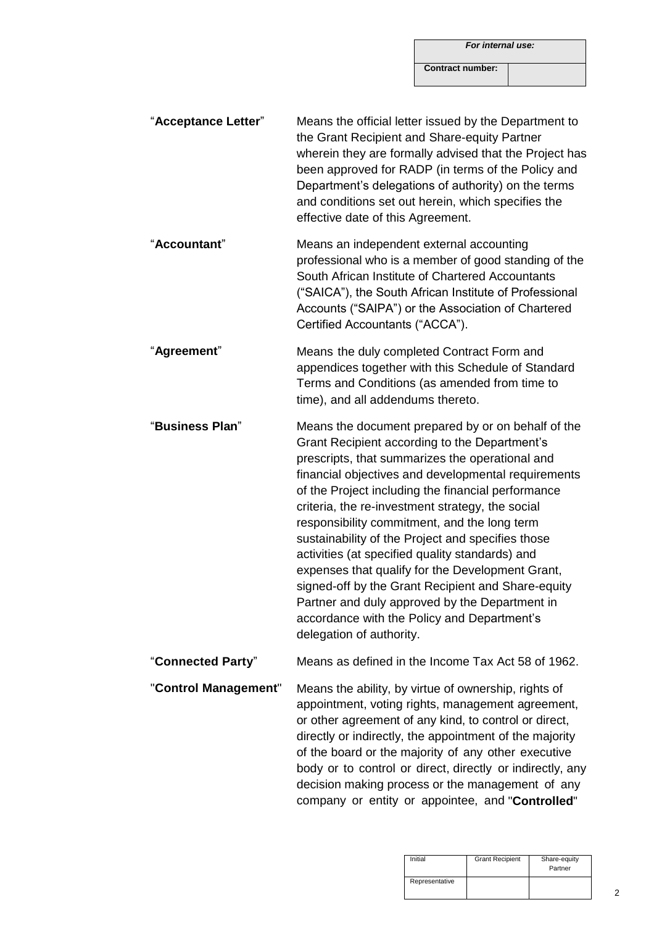*For internal use:*

**Contract number:**

- "**Acceptance Letter**" Means the official letter issued by the Department to the Grant Recipient and Share-equity Partner wherein they are formally advised that the Project has been approved for RADP (in terms of the Policy and Department's delegations of authority) on the terms and conditions set out herein, which specifies the effective date of this Agreement.
- "**Accountant**" Means an independent external accounting professional who is a member of good standing of the South African Institute of Chartered Accountants ("SAICA"), the South African Institute of Professional Accounts ("SAIPA") or the Association of Chartered Certified Accountants ("ACCA").
- "**Agreement**" Means the duly completed Contract Form and appendices together with this Schedule of Standard Terms and Conditions (as amended from time to time), and all addendums thereto.
- "**Business Plan**" Means the document prepared by or on behalf of the Grant Recipient according to the Department's prescripts, that summarizes the operational and financial objectives and developmental requirements of the Project including the financial performance criteria, the re-investment strategy, the social responsibility commitment, and the long term sustainability of the Project and specifies those activities (at specified quality standards) and expenses that qualify for the Development Grant, signed-off by the Grant Recipient and Share-equity Partner and duly approved by the Department in accordance with the Policy and Department's delegation of authority.

"**Connected Party**" Means as defined in the Income Tax Act 58 of 1962.

"**Control Management**" Means the ability, by virtue of ownership, rights of appointment, voting rights, management agreement, or other agreement of any kind, to control or direct, directly or indirectly, the appointment of the majority of the board or the majority of any other executive body or to control or direct, directly or indirectly, any decision making process or the management of any company or entity or appointee, and "**Controlled**"

| Initial        | <b>Grant Recipient</b> | Share-equity<br>Partner |
|----------------|------------------------|-------------------------|
| Representative |                        |                         |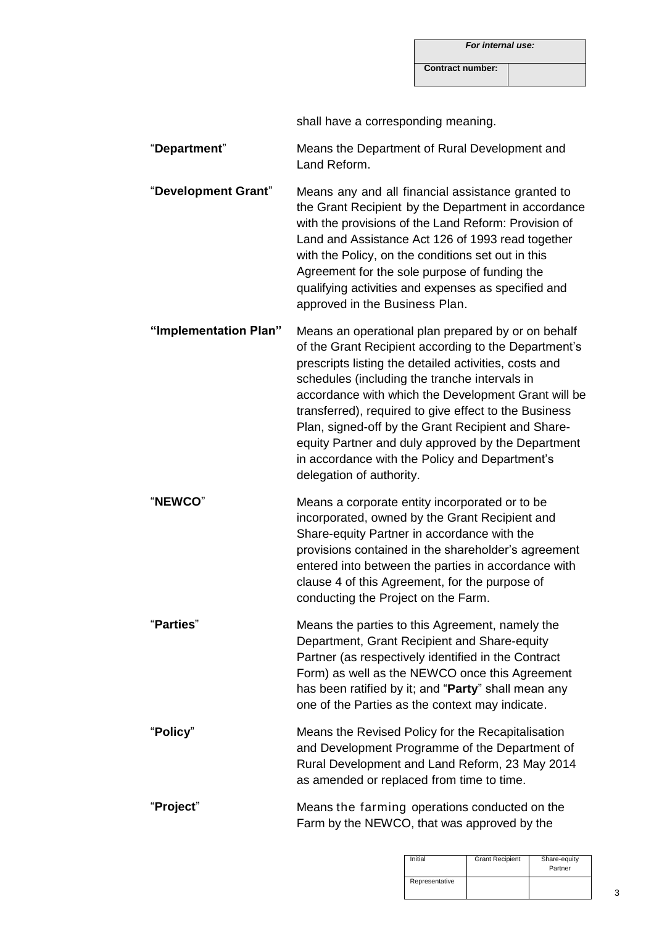**Contract number:**

shall have a corresponding meaning.

"**Department**" Means the Department of Rural Development and Land Reform.

"**Development Grant**" Means any and all financial assistance granted to the Grant Recipient by the Department in accordance with the provisions of the Land Reform: Provision of Land and Assistance Act 126 of 1993 read together with the Policy, on the conditions set out in this Agreement for the sole purpose of funding the qualifying activities and expenses as specified and approved in the Business Plan.

**"Implementation Plan"** Means an operational plan prepared by or on behalf of the Grant Recipient according to the Department's prescripts listing the detailed activities, costs and schedules (including the tranche intervals in accordance with which the Development Grant will be transferred), required to give effect to the Business Plan, signed-off by the Grant Recipient and Shareequity Partner and duly approved by the Department in accordance with the Policy and Department's delegation of authority.

"**NEWCO**" Means a corporate entity incorporated or to be incorporated, owned by the Grant Recipient and Share-equity Partner in accordance with the provisions contained in the shareholder's agreement entered into between the parties in accordance with clause 4 of this Agreement, for the purpose of conducting the Project on the Farm.

"**Parties**" Means the parties to this Agreement, namely the Department, Grant Recipient and Share-equity Partner (as respectively identified in the Contract Form) as well as the NEWCO once this Agreement has been ratified by it; and "**Party**" shall mean any one of the Parties as the context may indicate.

"**Policy**" Means the Revised Policy for the Recapitalisation and Development Programme of the Department of Rural Development and Land Reform, 23 May 2014 as amended or replaced from time to time.

"**Project**" Means the farming operations conducted on the Farm by the NEWCO, that was approved by the

| Initial        | <b>Grant Recipient</b> | Share-equity<br>Partner |
|----------------|------------------------|-------------------------|
| Representative |                        |                         |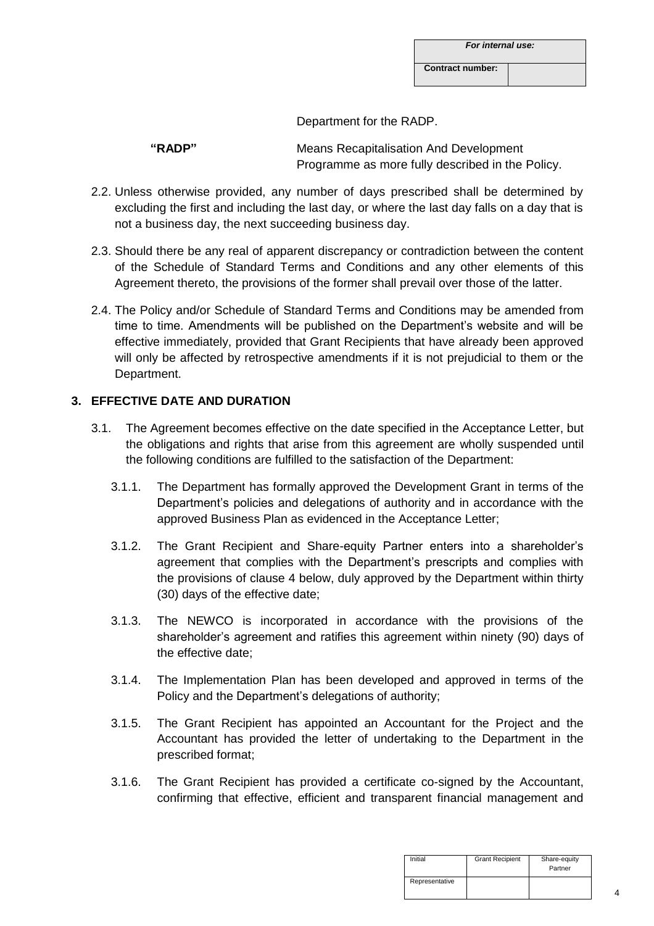| For internal use: |  |
|-------------------|--|
|-------------------|--|

**Contract number:**

Department for the RADP.

**"RADP"** Means Recapitalisation And Development Programme as more fully described in the Policy.

- 2.2. Unless otherwise provided, any number of days prescribed shall be determined by excluding the first and including the last day, or where the last day falls on a day that is not a business day, the next succeeding business day.
- 2.3. Should there be any real of apparent discrepancy or contradiction between the content of the Schedule of Standard Terms and Conditions and any other elements of this Agreement thereto, the provisions of the former shall prevail over those of the latter.
- 2.4. The Policy and/or Schedule of Standard Terms and Conditions may be amended from time to time. Amendments will be published on the Department's website and will be effective immediately, provided that Grant Recipients that have already been approved will only be affected by retrospective amendments if it is not prejudicial to them or the Department.

# **3. EFFECTIVE DATE AND DURATION**

- 3.1. The Agreement becomes effective on the date specified in the Acceptance Letter, but the obligations and rights that arise from this agreement are wholly suspended until the following conditions are fulfilled to the satisfaction of the Department:
	- 3.1.1. The Department has formally approved the Development Grant in terms of the Department's policies and delegations of authority and in accordance with the approved Business Plan as evidenced in the Acceptance Letter;
	- 3.1.2. The Grant Recipient and Share-equity Partner enters into a shareholder's agreement that complies with the Department's prescripts and complies with the provisions of clause 4 below, duly approved by the Department within thirty (30) days of the effective date;
	- 3.1.3. The NEWCO is incorporated in accordance with the provisions of the shareholder's agreement and ratifies this agreement within ninety (90) days of the effective date;
	- 3.1.4. The Implementation Plan has been developed and approved in terms of the Policy and the Department's delegations of authority;
	- 3.1.5. The Grant Recipient has appointed an Accountant for the Project and the Accountant has provided the letter of undertaking to the Department in the prescribed format;
	- 3.1.6. The Grant Recipient has provided a certificate co-signed by the Accountant, confirming that effective, efficient and transparent financial management and

| Initial        | <b>Grant Recipient</b> | Share-equity<br>Partner |
|----------------|------------------------|-------------------------|
| Representative |                        |                         |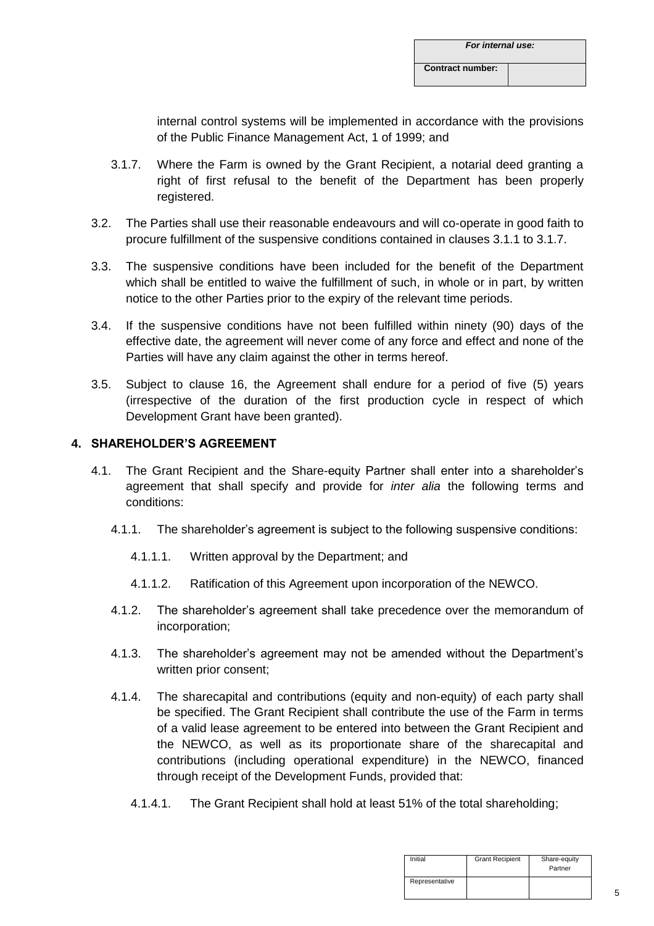internal control systems will be implemented in accordance with the provisions of the Public Finance Management Act, 1 of 1999; and

- 3.1.7. Where the Farm is owned by the Grant Recipient, a notarial deed granting a right of first refusal to the benefit of the Department has been properly registered.
- 3.2. The Parties shall use their reasonable endeavours and will co-operate in good faith to procure fulfillment of the suspensive conditions contained in clauses 3.1.1 to 3.1.7.
- 3.3. The suspensive conditions have been included for the benefit of the Department which shall be entitled to waive the fulfillment of such, in whole or in part, by written notice to the other Parties prior to the expiry of the relevant time periods.
- 3.4. If the suspensive conditions have not been fulfilled within ninety (90) days of the effective date, the agreement will never come of any force and effect and none of the Parties will have any claim against the other in terms hereof.
- 3.5. Subject to clause 16, the Agreement shall endure for a period of five (5) years (irrespective of the duration of the first production cycle in respect of which Development Grant have been granted).

# **4. SHAREHOLDER'S AGREEMENT**

- 4.1. The Grant Recipient and the Share-equity Partner shall enter into a shareholder's agreement that shall specify and provide for *inter alia* the following terms and conditions:
	- 4.1.1. The shareholder's agreement is subject to the following suspensive conditions:
		- 4.1.1.1. Written approval by the Department; and
		- 4.1.1.2. Ratification of this Agreement upon incorporation of the NEWCO.
	- 4.1.2. The shareholder's agreement shall take precedence over the memorandum of incorporation;
	- 4.1.3. The shareholder's agreement may not be amended without the Department's written prior consent;
	- 4.1.4. The sharecapital and contributions (equity and non-equity) of each party shall be specified. The Grant Recipient shall contribute the use of the Farm in terms of a valid lease agreement to be entered into between the Grant Recipient and the NEWCO, as well as its proportionate share of the sharecapital and contributions (including operational expenditure) in the NEWCO, financed through receipt of the Development Funds, provided that:
		- 4.1.4.1. The Grant Recipient shall hold at least 51% of the total shareholding;

| Initial        | <b>Grant Recipient</b> | Share-equity<br>Partner |
|----------------|------------------------|-------------------------|
| Representative |                        |                         |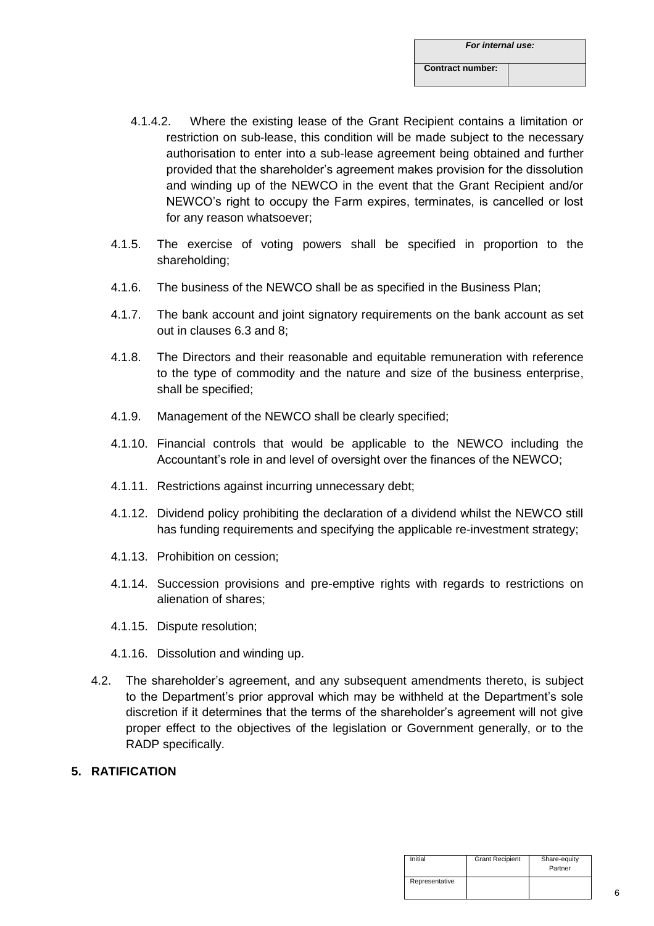- 4.1.4.2. Where the existing lease of the Grant Recipient contains a limitation or restriction on sub-lease, this condition will be made subject to the necessary authorisation to enter into a sub-lease agreement being obtained and further provided that the shareholder's agreement makes provision for the dissolution and winding up of the NEWCO in the event that the Grant Recipient and/or NEWCO's right to occupy the Farm expires, terminates, is cancelled or lost for any reason whatsoever;
- 4.1.5. The exercise of voting powers shall be specified in proportion to the shareholding;
- 4.1.6. The business of the NEWCO shall be as specified in the Business Plan;
- 4.1.7. The bank account and joint signatory requirements on the bank account as set out in clauses 6.3 and 8;
- 4.1.8. The Directors and their reasonable and equitable remuneration with reference to the type of commodity and the nature and size of the business enterprise, shall be specified;
- 4.1.9. Management of the NEWCO shall be clearly specified;
- 4.1.10. Financial controls that would be applicable to the NEWCO including the Accountant's role in and level of oversight over the finances of the NEWCO;
- 4.1.11. Restrictions against incurring unnecessary debt;
- 4.1.12. Dividend policy prohibiting the declaration of a dividend whilst the NEWCO still has funding requirements and specifying the applicable re-investment strategy;
- 4.1.13. Prohibition on cession;
- 4.1.14. Succession provisions and pre-emptive rights with regards to restrictions on alienation of shares;
- 4.1.15. Dispute resolution;
- 4.1.16. Dissolution and winding up.
- 4.2. The shareholder's agreement, and any subsequent amendments thereto, is subject to the Department's prior approval which may be withheld at the Department's sole discretion if it determines that the terms of the shareholder's agreement will not give proper effect to the objectives of the legislation or Government generally, or to the RADP specifically.
- **5. RATIFICATION**

| Initial        | <b>Grant Recipient</b> | Share-equity<br>Partner |
|----------------|------------------------|-------------------------|
| Representative |                        |                         |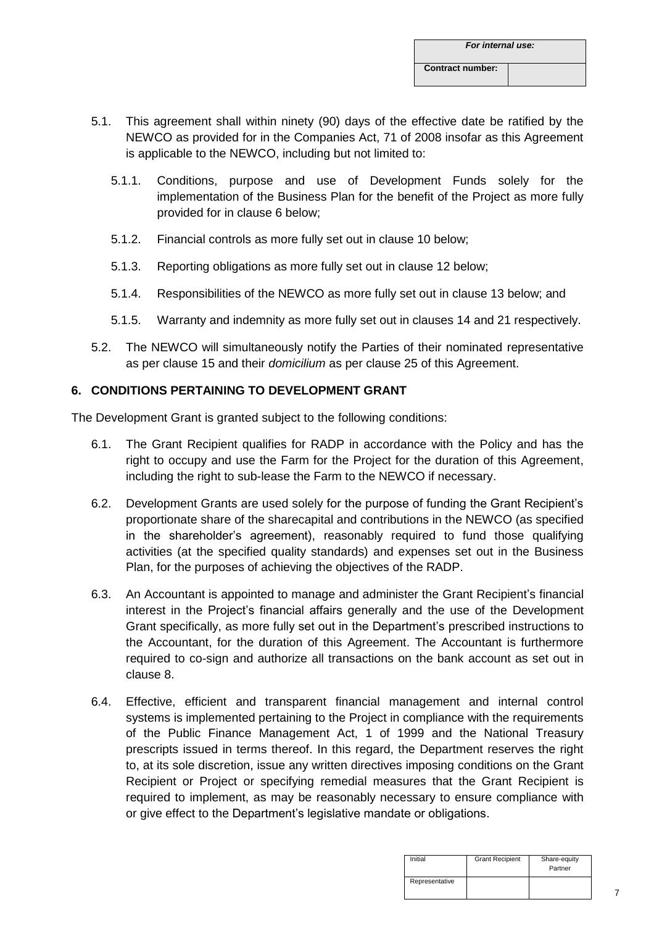- 5.1. This agreement shall within ninety (90) days of the effective date be ratified by the NEWCO as provided for in the Companies Act, 71 of 2008 insofar as this Agreement is applicable to the NEWCO, including but not limited to:
	- 5.1.1. Conditions, purpose and use of Development Funds solely for the implementation of the Business Plan for the benefit of the Project as more fully provided for in clause 6 below;
	- 5.1.2. Financial controls as more fully set out in clause 10 below;
	- 5.1.3. Reporting obligations as more fully set out in clause 12 below;
	- 5.1.4. Responsibilities of the NEWCO as more fully set out in clause 13 below; and
	- 5.1.5. Warranty and indemnity as more fully set out in clauses 14 and 21 respectively.
- 5.2. The NEWCO will simultaneously notify the Parties of their nominated representative as per clause 15 and their *domicilium* as per clause 25 of this Agreement.

# **6. CONDITIONS PERTAINING TO DEVELOPMENT GRANT**

The Development Grant is granted subject to the following conditions:

- 6.1. The Grant Recipient qualifies for RADP in accordance with the Policy and has the right to occupy and use the Farm for the Project for the duration of this Agreement, including the right to sub-lease the Farm to the NEWCO if necessary.
- 6.2. Development Grants are used solely for the purpose of funding the Grant Recipient's proportionate share of the sharecapital and contributions in the NEWCO (as specified in the shareholder's agreement), reasonably required to fund those qualifying activities (at the specified quality standards) and expenses set out in the Business Plan, for the purposes of achieving the objectives of the RADP.
- 6.3. An Accountant is appointed to manage and administer the Grant Recipient's financial interest in the Project's financial affairs generally and the use of the Development Grant specifically, as more fully set out in the Department's prescribed instructions to the Accountant, for the duration of this Agreement. The Accountant is furthermore required to co-sign and authorize all transactions on the bank account as set out in clause 8.
- 6.4. Effective, efficient and transparent financial management and internal control systems is implemented pertaining to the Project in compliance with the requirements of the Public Finance Management Act, 1 of 1999 and the National Treasury prescripts issued in terms thereof. In this regard, the Department reserves the right to, at its sole discretion, issue any written directives imposing conditions on the Grant Recipient or Project or specifying remedial measures that the Grant Recipient is required to implement, as may be reasonably necessary to ensure compliance with or give effect to the Department's legislative mandate or obligations.

| Initial        | <b>Grant Recipient</b> | Share-equity<br>Partner |
|----------------|------------------------|-------------------------|
| Representative |                        |                         |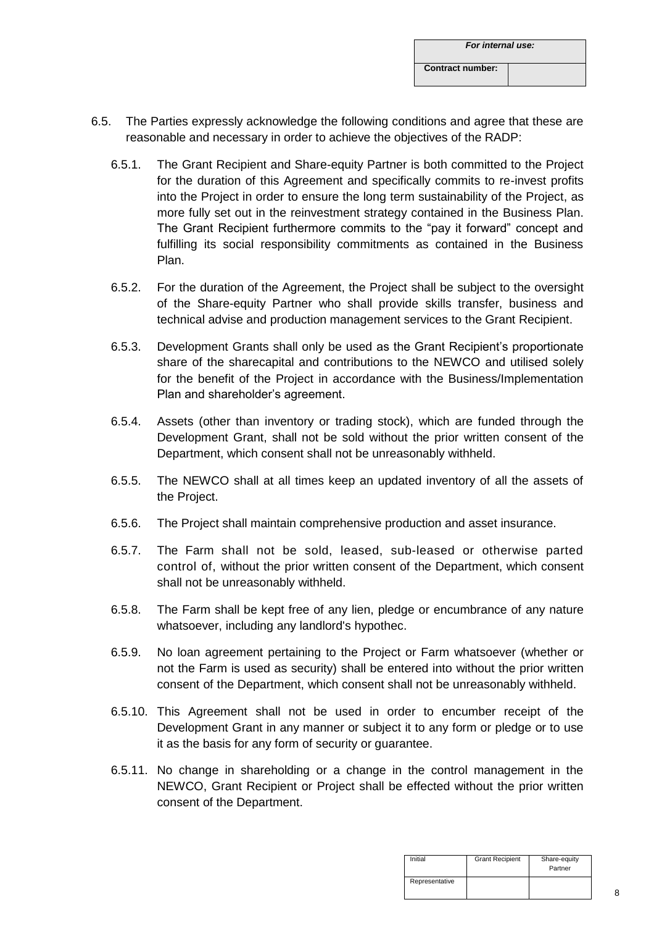- 6.5. The Parties expressly acknowledge the following conditions and agree that these are reasonable and necessary in order to achieve the objectives of the RADP:
	- 6.5.1. The Grant Recipient and Share-equity Partner is both committed to the Project for the duration of this Agreement and specifically commits to re-invest profits into the Project in order to ensure the long term sustainability of the Project, as more fully set out in the reinvestment strategy contained in the Business Plan. The Grant Recipient furthermore commits to the "pay it forward" concept and fulfilling its social responsibility commitments as contained in the Business Plan.
	- 6.5.2. For the duration of the Agreement, the Project shall be subject to the oversight of the Share-equity Partner who shall provide skills transfer, business and technical advise and production management services to the Grant Recipient.
	- 6.5.3. Development Grants shall only be used as the Grant Recipient's proportionate share of the sharecapital and contributions to the NEWCO and utilised solely for the benefit of the Project in accordance with the Business/Implementation Plan and shareholder's agreement.
	- 6.5.4. Assets (other than inventory or trading stock), which are funded through the Development Grant, shall not be sold without the prior written consent of the Department, which consent shall not be unreasonably withheld.
	- 6.5.5. The NEWCO shall at all times keep an updated inventory of all the assets of the Project.
	- 6.5.6. The Project shall maintain comprehensive production and asset insurance.
	- 6.5.7. The Farm shall not be sold, leased, sub-leased or otherwise parted control of, without the prior written consent of the Department, which consent shall not be unreasonably withheld.
	- 6.5.8. The Farm shall be kept free of any lien, pledge or encumbrance of any nature whatsoever, including any landlord's hypothec.
	- 6.5.9. No loan agreement pertaining to the Project or Farm whatsoever (whether or not the Farm is used as security) shall be entered into without the prior written consent of the Department, which consent shall not be unreasonably withheld.
	- 6.5.10. This Agreement shall not be used in order to encumber receipt of the Development Grant in any manner or subject it to any form or pledge or to use it as the basis for any form of security or guarantee.
	- 6.5.11. No change in shareholding or a change in the control management in the NEWCO, Grant Recipient or Project shall be effected without the prior written consent of the Department.

| Initial        | <b>Grant Recipient</b> | Share-equity<br>Partner |
|----------------|------------------------|-------------------------|
| Representative |                        |                         |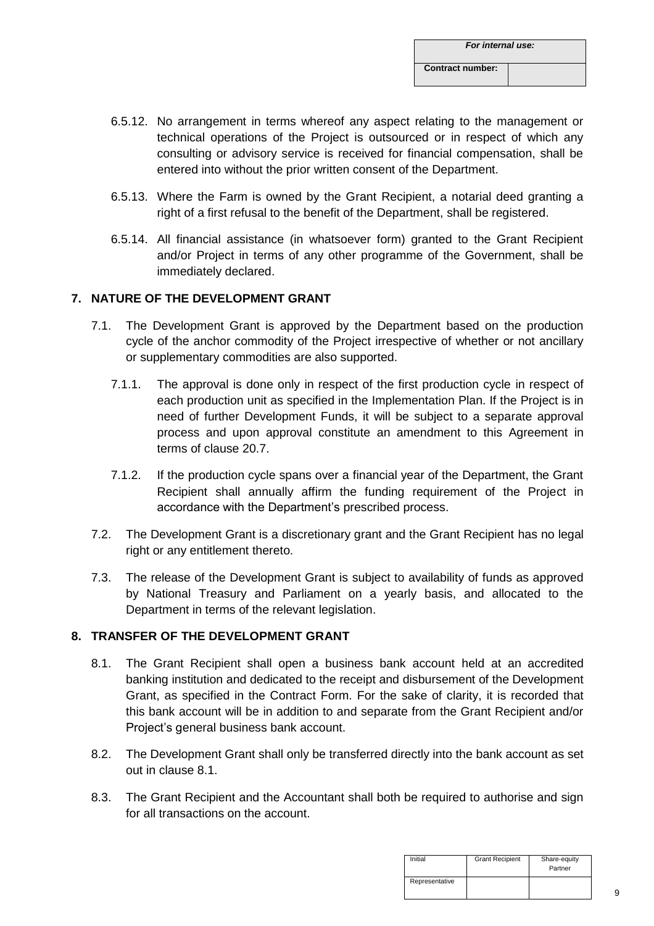- 6.5.12. No arrangement in terms whereof any aspect relating to the management or technical operations of the Project is outsourced or in respect of which any consulting or advisory service is received for financial compensation, shall be entered into without the prior written consent of the Department.
- 6.5.13. Where the Farm is owned by the Grant Recipient, a notarial deed granting a right of a first refusal to the benefit of the Department, shall be registered.
- 6.5.14. All financial assistance (in whatsoever form) granted to the Grant Recipient and/or Project in terms of any other programme of the Government, shall be immediately declared.

# **7. NATURE OF THE DEVELOPMENT GRANT**

- 7.1. The Development Grant is approved by the Department based on the production cycle of the anchor commodity of the Project irrespective of whether or not ancillary or supplementary commodities are also supported.
	- 7.1.1. The approval is done only in respect of the first production cycle in respect of each production unit as specified in the Implementation Plan. If the Project is in need of further Development Funds, it will be subject to a separate approval process and upon approval constitute an amendment to this Agreement in terms of clause 20.7.
	- 7.1.2. If the production cycle spans over a financial year of the Department, the Grant Recipient shall annually affirm the funding requirement of the Project in accordance with the Department's prescribed process.
- 7.2. The Development Grant is a discretionary grant and the Grant Recipient has no legal right or any entitlement thereto.
- 7.3. The release of the Development Grant is subject to availability of funds as approved by National Treasury and Parliament on a yearly basis, and allocated to the Department in terms of the relevant legislation.

# **8. TRANSFER OF THE DEVELOPMENT GRANT**

- 8.1. The Grant Recipient shall open a business bank account held at an accredited banking institution and dedicated to the receipt and disbursement of the Development Grant, as specified in the Contract Form. For the sake of clarity, it is recorded that this bank account will be in addition to and separate from the Grant Recipient and/or Project's general business bank account.
- 8.2. The Development Grant shall only be transferred directly into the bank account as set out in clause 8.1.
- 8.3. The Grant Recipient and the Accountant shall both be required to authorise and sign for all transactions on the account.

| Initial        | <b>Grant Recipient</b> | Share-equity<br>Partner |
|----------------|------------------------|-------------------------|
| Representative |                        |                         |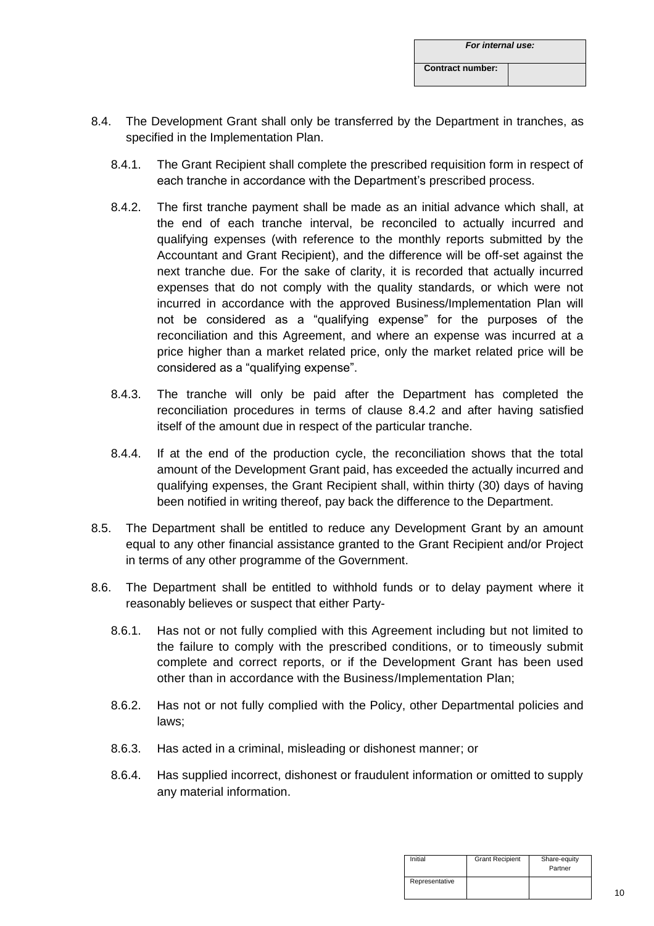| For internal use:       |  |
|-------------------------|--|
| <b>Contract number:</b> |  |

- 8.4. The Development Grant shall only be transferred by the Department in tranches, as specified in the Implementation Plan.
	- 8.4.1. The Grant Recipient shall complete the prescribed requisition form in respect of each tranche in accordance with the Department's prescribed process.
	- 8.4.2. The first tranche payment shall be made as an initial advance which shall, at the end of each tranche interval, be reconciled to actually incurred and qualifying expenses (with reference to the monthly reports submitted by the Accountant and Grant Recipient), and the difference will be off-set against the next tranche due. For the sake of clarity, it is recorded that actually incurred expenses that do not comply with the quality standards, or which were not incurred in accordance with the approved Business/Implementation Plan will not be considered as a "qualifying expense" for the purposes of the reconciliation and this Agreement, and where an expense was incurred at a price higher than a market related price, only the market related price will be considered as a "qualifying expense".
	- 8.4.3. The tranche will only be paid after the Department has completed the reconciliation procedures in terms of clause 8.4.2 and after having satisfied itself of the amount due in respect of the particular tranche.
	- 8.4.4. If at the end of the production cycle, the reconciliation shows that the total amount of the Development Grant paid, has exceeded the actually incurred and qualifying expenses, the Grant Recipient shall, within thirty (30) days of having been notified in writing thereof, pay back the difference to the Department.
- 8.5. The Department shall be entitled to reduce any Development Grant by an amount equal to any other financial assistance granted to the Grant Recipient and/or Project in terms of any other programme of the Government.
- 8.6. The Department shall be entitled to withhold funds or to delay payment where it reasonably believes or suspect that either Party-
	- 8.6.1. Has not or not fully complied with this Agreement including but not limited to the failure to comply with the prescribed conditions, or to timeously submit complete and correct reports, or if the Development Grant has been used other than in accordance with the Business/Implementation Plan;
	- 8.6.2. Has not or not fully complied with the Policy, other Departmental policies and laws;
	- 8.6.3. Has acted in a criminal, misleading or dishonest manner; or
	- 8.6.4. Has supplied incorrect, dishonest or fraudulent information or omitted to supply any material information.

| Initial        | <b>Grant Recipient</b> | Share-equity<br>Partner |
|----------------|------------------------|-------------------------|
| Representative |                        |                         |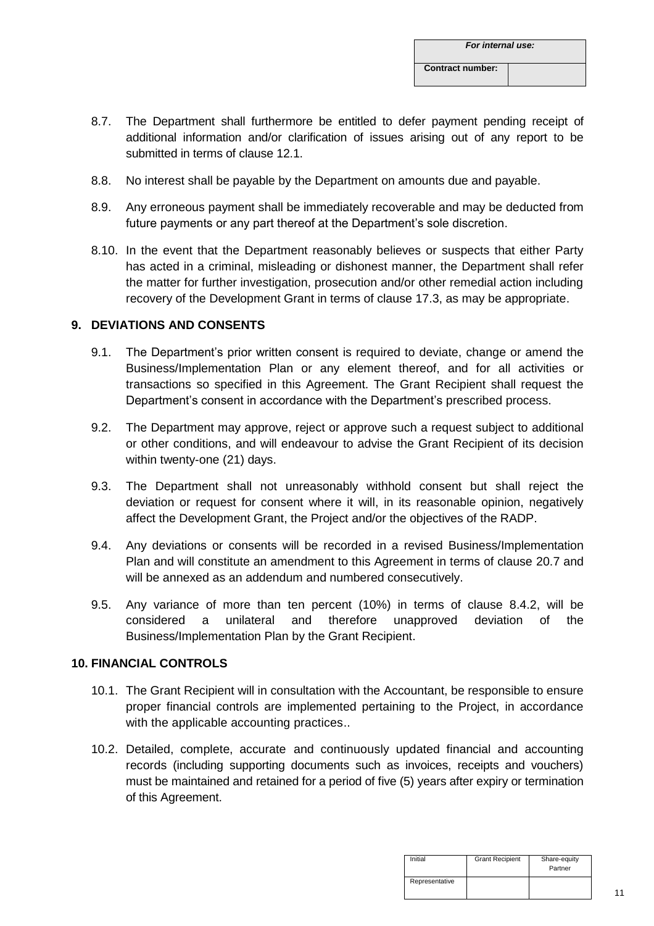- 8.7. The Department shall furthermore be entitled to defer payment pending receipt of additional information and/or clarification of issues arising out of any report to be submitted in terms of clause 12.1.
- 8.8. No interest shall be payable by the Department on amounts due and payable.
- 8.9. Any erroneous payment shall be immediately recoverable and may be deducted from future payments or any part thereof at the Department's sole discretion.
- 8.10. In the event that the Department reasonably believes or suspects that either Party has acted in a criminal, misleading or dishonest manner, the Department shall refer the matter for further investigation, prosecution and/or other remedial action including recovery of the Development Grant in terms of clause 17.3, as may be appropriate.

# **9. DEVIATIONS AND CONSENTS**

- 9.1. The Department's prior written consent is required to deviate, change or amend the Business/Implementation Plan or any element thereof, and for all activities or transactions so specified in this Agreement. The Grant Recipient shall request the Department's consent in accordance with the Department's prescribed process.
- 9.2. The Department may approve, reject or approve such a request subject to additional or other conditions, and will endeavour to advise the Grant Recipient of its decision within twenty-one (21) days.
- 9.3. The Department shall not unreasonably withhold consent but shall reject the deviation or request for consent where it will, in its reasonable opinion, negatively affect the Development Grant, the Project and/or the objectives of the RADP.
- 9.4. Any deviations or consents will be recorded in a revised Business/Implementation Plan and will constitute an amendment to this Agreement in terms of clause 20.7 and will be annexed as an addendum and numbered consecutively.
- 9.5. Any variance of more than ten percent (10%) in terms of clause 8.4.2, will be considered a unilateral and therefore unapproved deviation of the Business/Implementation Plan by the Grant Recipient.

# **10. FINANCIAL CONTROLS**

- 10.1. The Grant Recipient will in consultation with the Accountant, be responsible to ensure proper financial controls are implemented pertaining to the Project, in accordance with the applicable accounting practices..
- 10.2. Detailed, complete, accurate and continuously updated financial and accounting records (including supporting documents such as invoices, receipts and vouchers) must be maintained and retained for a period of five (5) years after expiry or termination of this Agreement.

| Initial        | <b>Grant Recipient</b> | Share-equity<br>Partner |
|----------------|------------------------|-------------------------|
| Representative |                        |                         |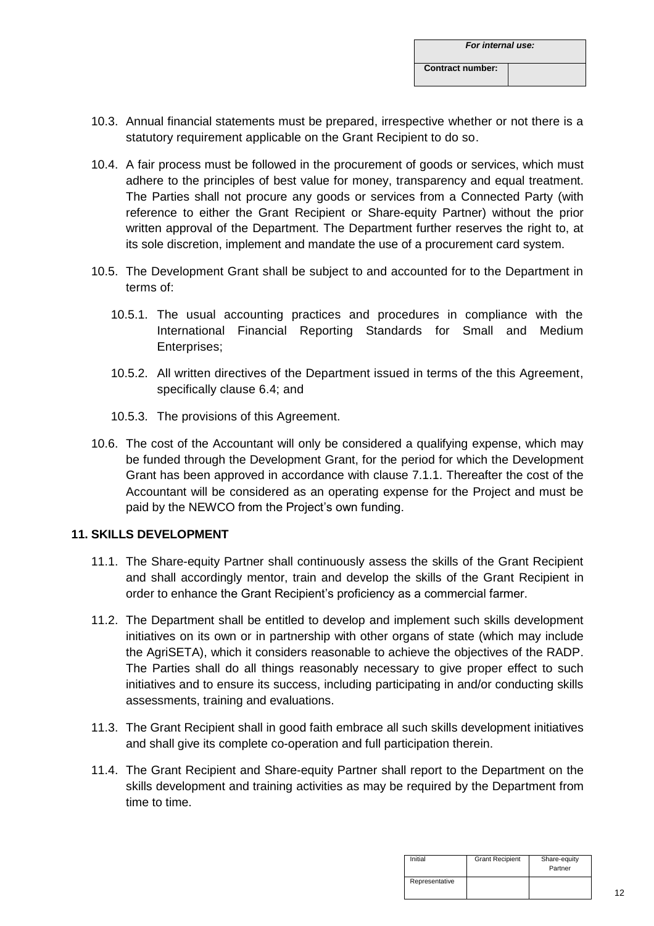- 10.3. Annual financial statements must be prepared, irrespective whether or not there is a statutory requirement applicable on the Grant Recipient to do so.
- 10.4. A fair process must be followed in the procurement of goods or services, which must adhere to the principles of best value for money, transparency and equal treatment. The Parties shall not procure any goods or services from a Connected Party (with reference to either the Grant Recipient or Share-equity Partner) without the prior written approval of the Department. The Department further reserves the right to, at its sole discretion, implement and mandate the use of a procurement card system.
- 10.5. The Development Grant shall be subject to and accounted for to the Department in terms of:
	- 10.5.1. The usual accounting practices and procedures in compliance with the International Financial Reporting Standards for Small and Medium Enterprises;
	- 10.5.2. All written directives of the Department issued in terms of the this Agreement, specifically clause 6.4; and
	- 10.5.3. The provisions of this Agreement.
- 10.6. The cost of the Accountant will only be considered a qualifying expense, which may be funded through the Development Grant, for the period for which the Development Grant has been approved in accordance with clause 7.1.1. Thereafter the cost of the Accountant will be considered as an operating expense for the Project and must be paid by the NEWCO from the Project's own funding.

# **11. SKILLS DEVELOPMENT**

- 11.1. The Share-equity Partner shall continuously assess the skills of the Grant Recipient and shall accordingly mentor, train and develop the skills of the Grant Recipient in order to enhance the Grant Recipient's proficiency as a commercial farmer.
- 11.2. The Department shall be entitled to develop and implement such skills development initiatives on its own or in partnership with other organs of state (which may include the AgriSETA), which it considers reasonable to achieve the objectives of the RADP. The Parties shall do all things reasonably necessary to give proper effect to such initiatives and to ensure its success, including participating in and/or conducting skills assessments, training and evaluations.
- 11.3. The Grant Recipient shall in good faith embrace all such skills development initiatives and shall give its complete co-operation and full participation therein.
- 11.4. The Grant Recipient and Share-equity Partner shall report to the Department on the skills development and training activities as may be required by the Department from time to time.

| Initial        | <b>Grant Recipient</b> | Share-equity<br>Partner |
|----------------|------------------------|-------------------------|
| Representative |                        |                         |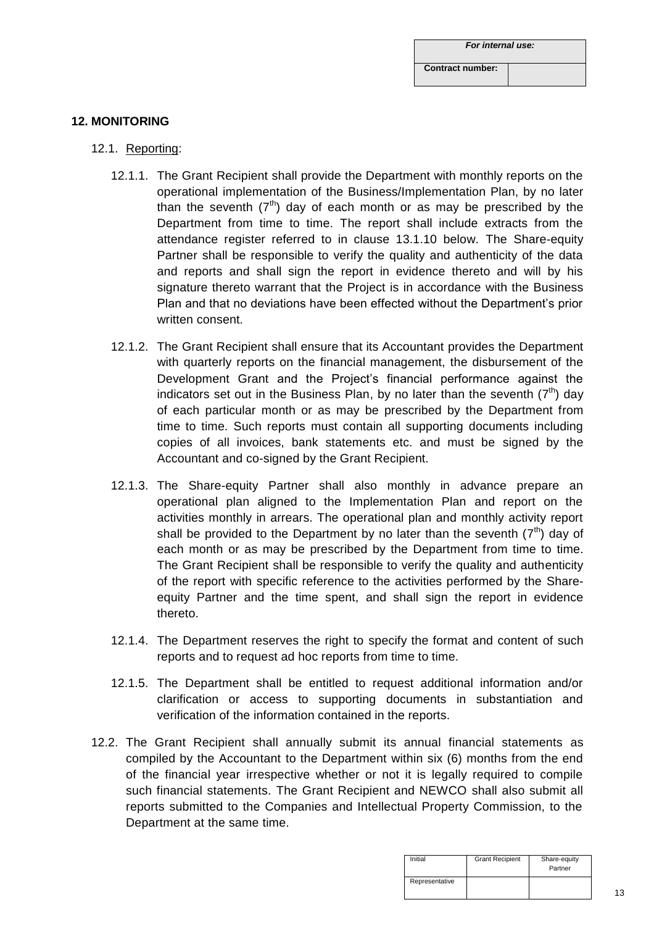| For internal use:       |  |
|-------------------------|--|
| <b>Contract number:</b> |  |

# **12. MONITORING**

- 12.1. Reporting:
	- 12.1.1. The Grant Recipient shall provide the Department with monthly reports on the operational implementation of the Business/Implementation Plan, by no later than the seventh  $(7<sup>th</sup>)$  day of each month or as may be prescribed by the Department from time to time. The report shall include extracts from the attendance register referred to in clause 13.1.10 below. The Share-equity Partner shall be responsible to verify the quality and authenticity of the data and reports and shall sign the report in evidence thereto and will by his signature thereto warrant that the Project is in accordance with the Business Plan and that no deviations have been effected without the Department's prior written consent.
	- 12.1.2. The Grant Recipient shall ensure that its Accountant provides the Department with quarterly reports on the financial management, the disbursement of the Development Grant and the Project's financial performance against the indicators set out in the Business Plan, by no later than the seventh  $(7<sup>th</sup>)$  day of each particular month or as may be prescribed by the Department from time to time. Such reports must contain all supporting documents including copies of all invoices, bank statements etc. and must be signed by the Accountant and co-signed by the Grant Recipient.
	- 12.1.3. The Share-equity Partner shall also monthly in advance prepare an operational plan aligned to the Implementation Plan and report on the activities monthly in arrears. The operational plan and monthly activity report shall be provided to the Department by no later than the seventh  $(7<sup>th</sup>)$  day of each month or as may be prescribed by the Department from time to time. The Grant Recipient shall be responsible to verify the quality and authenticity of the report with specific reference to the activities performed by the Shareequity Partner and the time spent, and shall sign the report in evidence thereto.
	- 12.1.4. The Department reserves the right to specify the format and content of such reports and to request ad hoc reports from time to time.
	- 12.1.5. The Department shall be entitled to request additional information and/or clarification or access to supporting documents in substantiation and verification of the information contained in the reports.
- 12.2. The Grant Recipient shall annually submit its annual financial statements as compiled by the Accountant to the Department within six (6) months from the end of the financial year irrespective whether or not it is legally required to compile such financial statements. The Grant Recipient and NEWCO shall also submit all reports submitted to the Companies and Intellectual Property Commission, to the Department at the same time.

| Initial        | <b>Grant Recipient</b> | Share-equity<br>Partner |
|----------------|------------------------|-------------------------|
| Representative |                        |                         |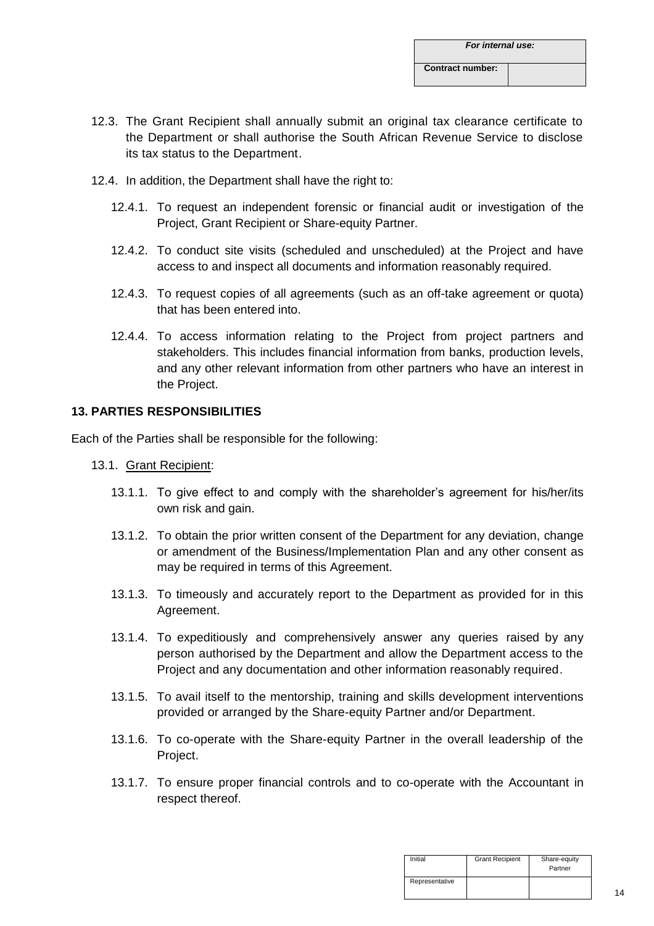- 12.3. The Grant Recipient shall annually submit an original tax clearance certificate to the Department or shall authorise the South African Revenue Service to disclose its tax status to the Department.
- 12.4. In addition, the Department shall have the right to:
	- 12.4.1. To request an independent forensic or financial audit or investigation of the Project, Grant Recipient or Share-equity Partner.
	- 12.4.2. To conduct site visits (scheduled and unscheduled) at the Project and have access to and inspect all documents and information reasonably required.
	- 12.4.3. To request copies of all agreements (such as an off-take agreement or quota) that has been entered into.
	- 12.4.4. To access information relating to the Project from project partners and stakeholders. This includes financial information from banks, production levels, and any other relevant information from other partners who have an interest in the Project.

# **13. PARTIES RESPONSIBILITIES**

Each of the Parties shall be responsible for the following:

- 13.1. Grant Recipient:
	- 13.1.1. To give effect to and comply with the shareholder's agreement for his/her/its own risk and gain.
	- 13.1.2. To obtain the prior written consent of the Department for any deviation, change or amendment of the Business/Implementation Plan and any other consent as may be required in terms of this Agreement.
	- 13.1.3. To timeously and accurately report to the Department as provided for in this Agreement.
	- 13.1.4. To expeditiously and comprehensively answer any queries raised by any person authorised by the Department and allow the Department access to the Project and any documentation and other information reasonably required.
	- 13.1.5. To avail itself to the mentorship, training and skills development interventions provided or arranged by the Share-equity Partner and/or Department.
	- 13.1.6. To co-operate with the Share-equity Partner in the overall leadership of the Project.
	- 13.1.7. To ensure proper financial controls and to co-operate with the Accountant in respect thereof.

| Initial        | <b>Grant Recipient</b> | Share-equity<br>Partner |
|----------------|------------------------|-------------------------|
| Representative |                        |                         |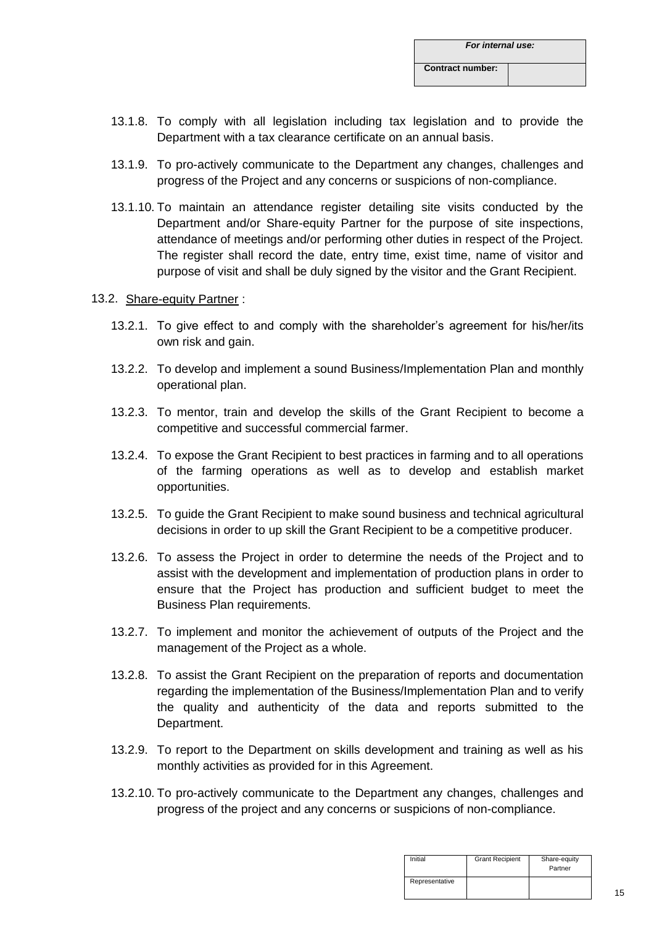- 13.1.8. To comply with all legislation including tax legislation and to provide the Department with a tax clearance certificate on an annual basis.
- 13.1.9. To pro-actively communicate to the Department any changes, challenges and progress of the Project and any concerns or suspicions of non-compliance.
- 13.1.10. To maintain an attendance register detailing site visits conducted by the Department and/or Share-equity Partner for the purpose of site inspections, attendance of meetings and/or performing other duties in respect of the Project. The register shall record the date, entry time, exist time, name of visitor and purpose of visit and shall be duly signed by the visitor and the Grant Recipient.

#### 13.2. Share-equity Partner :

- 13.2.1. To give effect to and comply with the shareholder's agreement for his/her/its own risk and gain.
- 13.2.2. To develop and implement a sound Business/Implementation Plan and monthly operational plan.
- 13.2.3. To mentor, train and develop the skills of the Grant Recipient to become a competitive and successful commercial farmer.
- 13.2.4. To expose the Grant Recipient to best practices in farming and to all operations of the farming operations as well as to develop and establish market opportunities.
- 13.2.5. To guide the Grant Recipient to make sound business and technical agricultural decisions in order to up skill the Grant Recipient to be a competitive producer.
- 13.2.6. To assess the Project in order to determine the needs of the Project and to assist with the development and implementation of production plans in order to ensure that the Project has production and sufficient budget to meet the Business Plan requirements.
- 13.2.7. To implement and monitor the achievement of outputs of the Project and the management of the Project as a whole.
- 13.2.8. To assist the Grant Recipient on the preparation of reports and documentation regarding the implementation of the Business/Implementation Plan and to verify the quality and authenticity of the data and reports submitted to the Department.
- 13.2.9. To report to the Department on skills development and training as well as his monthly activities as provided for in this Agreement.
- 13.2.10. To pro-actively communicate to the Department any changes, challenges and progress of the project and any concerns or suspicions of non-compliance.

| Initial        | <b>Grant Recipient</b> | Share-equity<br>Partner |
|----------------|------------------------|-------------------------|
| Representative |                        |                         |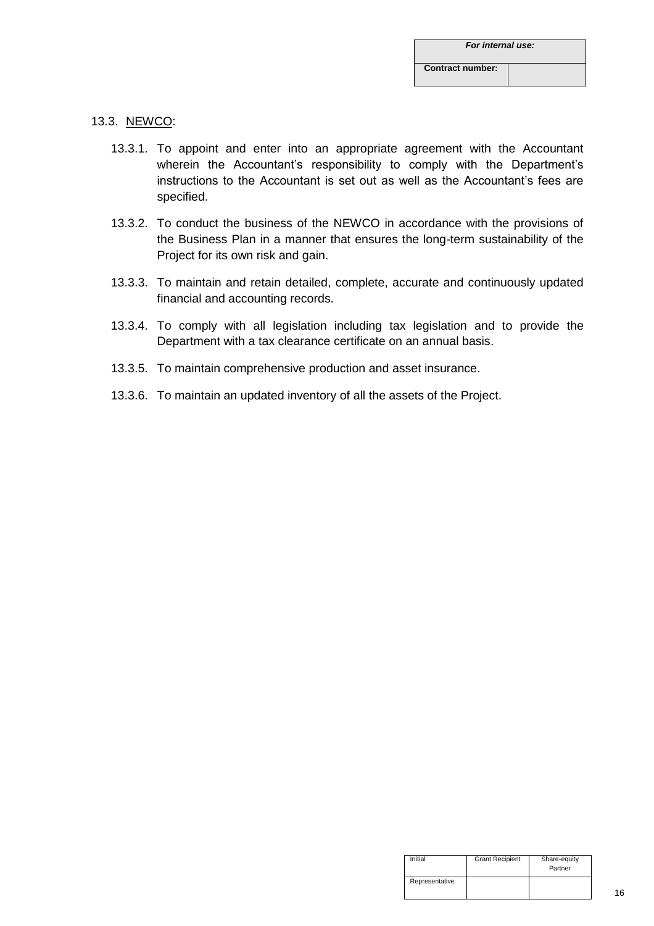#### 13.3. NEWCO:

- 13.3.1. To appoint and enter into an appropriate agreement with the Accountant wherein the Accountant's responsibility to comply with the Department's instructions to the Accountant is set out as well as the Accountant's fees are specified.
- 13.3.2. To conduct the business of the NEWCO in accordance with the provisions of the Business Plan in a manner that ensures the long-term sustainability of the Project for its own risk and gain.
- 13.3.3. To maintain and retain detailed, complete, accurate and continuously updated financial and accounting records.
- 13.3.4. To comply with all legislation including tax legislation and to provide the Department with a tax clearance certificate on an annual basis.
- 13.3.5. To maintain comprehensive production and asset insurance.
- 13.3.6. To maintain an updated inventory of all the assets of the Project.

| Initial        | <b>Grant Recipient</b> | Share-equity<br>Partner |
|----------------|------------------------|-------------------------|
| Representative |                        |                         |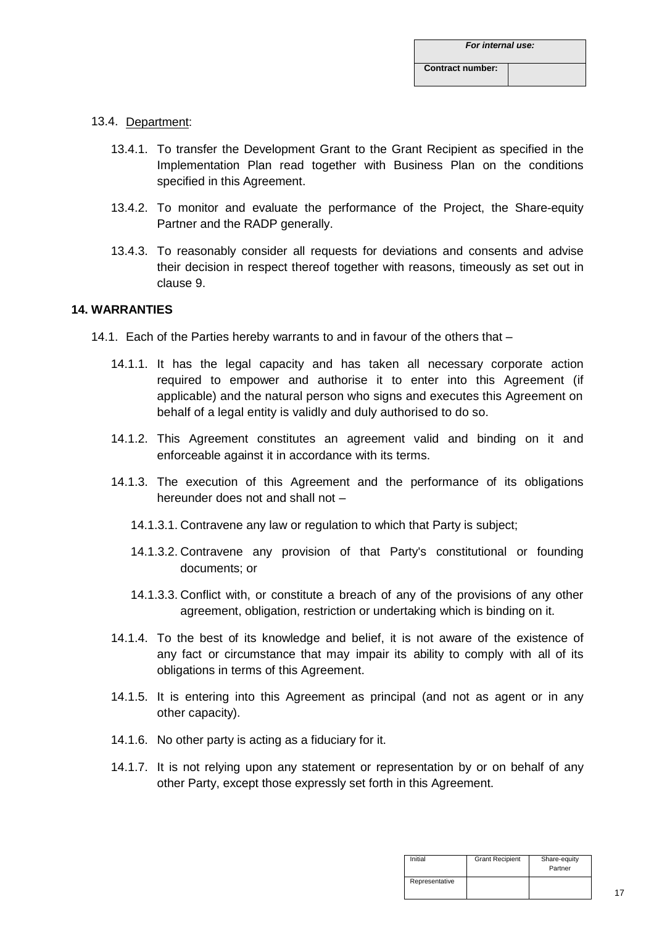## 13.4. Department:

- 13.4.1. To transfer the Development Grant to the Grant Recipient as specified in the Implementation Plan read together with Business Plan on the conditions specified in this Agreement.
- 13.4.2. To monitor and evaluate the performance of the Project, the Share-equity Partner and the RADP generally.
- 13.4.3. To reasonably consider all requests for deviations and consents and advise their decision in respect thereof together with reasons, timeously as set out in clause 9.

#### **14. WARRANTIES**

- 14.1. Each of the Parties hereby warrants to and in favour of the others that
	- 14.1.1. It has the legal capacity and has taken all necessary corporate action required to empower and authorise it to enter into this Agreement (if applicable) and the natural person who signs and executes this Agreement on behalf of a legal entity is validly and duly authorised to do so.
	- 14.1.2. This Agreement constitutes an agreement valid and binding on it and enforceable against it in accordance with its terms.
	- 14.1.3. The execution of this Agreement and the performance of its obligations hereunder does not and shall not –
		- 14.1.3.1. Contravene any law or regulation to which that Party is subject;
		- 14.1.3.2. Contravene any provision of that Party's constitutional or founding documents; or
		- 14.1.3.3. Conflict with, or constitute a breach of any of the provisions of any other agreement, obligation, restriction or undertaking which is binding on it.
	- 14.1.4. To the best of its knowledge and belief, it is not aware of the existence of any fact or circumstance that may impair its ability to comply with all of its obligations in terms of this Agreement.
	- 14.1.5. It is entering into this Agreement as principal (and not as agent or in any other capacity).
	- 14.1.6. No other party is acting as a fiduciary for it.
	- 14.1.7. It is not relying upon any statement or representation by or on behalf of any other Party, except those expressly set forth in this Agreement.

| Initial        | <b>Grant Recipient</b> | Share-equity<br>Partner |
|----------------|------------------------|-------------------------|
| Representative |                        |                         |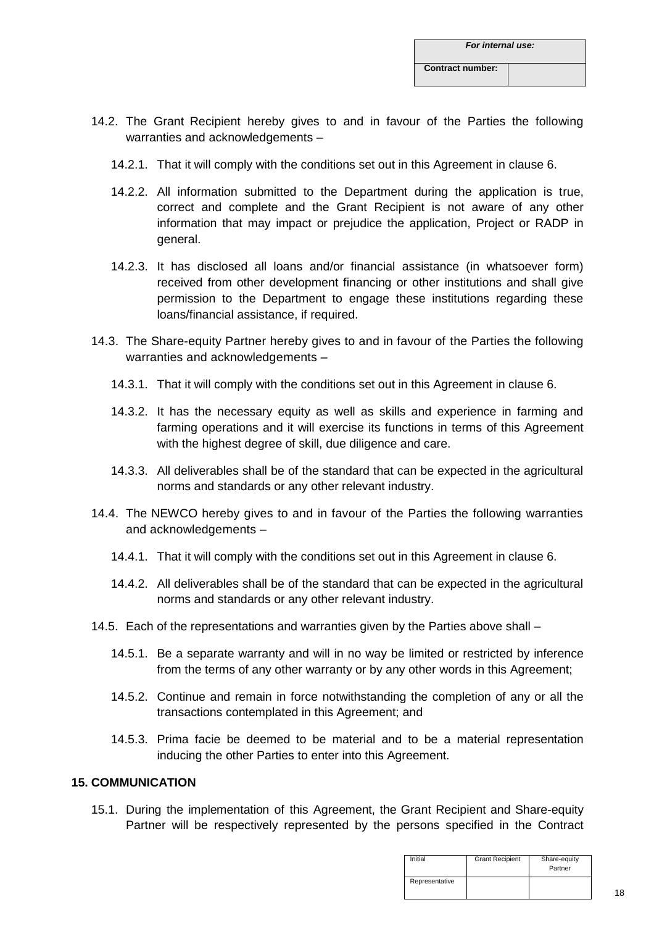- 14.2. The Grant Recipient hereby gives to and in favour of the Parties the following warranties and acknowledgements –
	- 14.2.1. That it will comply with the conditions set out in this Agreement in clause 6.
	- 14.2.2. All information submitted to the Department during the application is true, correct and complete and the Grant Recipient is not aware of any other information that may impact or prejudice the application, Project or RADP in general.
	- 14.2.3. It has disclosed all loans and/or financial assistance (in whatsoever form) received from other development financing or other institutions and shall give permission to the Department to engage these institutions regarding these loans/financial assistance, if required.
- 14.3. The Share-equity Partner hereby gives to and in favour of the Parties the following warranties and acknowledgements –
	- 14.3.1. That it will comply with the conditions set out in this Agreement in clause 6.
	- 14.3.2. It has the necessary equity as well as skills and experience in farming and farming operations and it will exercise its functions in terms of this Agreement with the highest degree of skill, due diligence and care.
	- 14.3.3. All deliverables shall be of the standard that can be expected in the agricultural norms and standards or any other relevant industry.
- 14.4. The NEWCO hereby gives to and in favour of the Parties the following warranties and acknowledgements –
	- 14.4.1. That it will comply with the conditions set out in this Agreement in clause 6.
	- 14.4.2. All deliverables shall be of the standard that can be expected in the agricultural norms and standards or any other relevant industry.
- 14.5. Each of the representations and warranties given by the Parties above shall
	- 14.5.1. Be a separate warranty and will in no way be limited or restricted by inference from the terms of any other warranty or by any other words in this Agreement;
	- 14.5.2. Continue and remain in force notwithstanding the completion of any or all the transactions contemplated in this Agreement; and
	- 14.5.3. Prima facie be deemed to be material and to be a material representation inducing the other Parties to enter into this Agreement.

## **15. COMMUNICATION**

15.1. During the implementation of this Agreement, the Grant Recipient and Share-equity Partner will be respectively represented by the persons specified in the Contract

| Initial        | <b>Grant Recipient</b> | Share-equity<br>Partner |
|----------------|------------------------|-------------------------|
| Representative |                        |                         |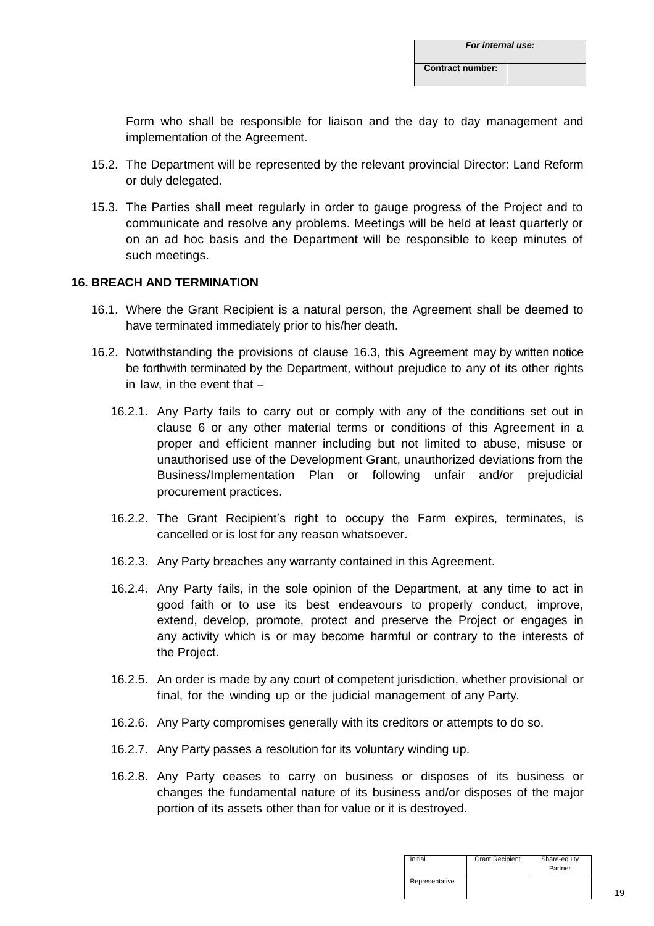Form who shall be responsible for liaison and the day to day management and implementation of the Agreement.

- 15.2. The Department will be represented by the relevant provincial Director: Land Reform or duly delegated.
- 15.3. The Parties shall meet regularly in order to gauge progress of the Project and to communicate and resolve any problems. Meetings will be held at least quarterly or on an ad hoc basis and the Department will be responsible to keep minutes of such meetings.

# **16. BREACH AND TERMINATION**

- 16.1. Where the Grant Recipient is a natural person, the Agreement shall be deemed to have terminated immediately prior to his/her death.
- 16.2. Notwithstanding the provisions of clause 16.3, this Agreement may by written notice be forthwith terminated by the Department, without prejudice to any of its other rights in law, in the event that –
	- 16.2.1. Any Party fails to carry out or comply with any of the conditions set out in clause 6 or any other material terms or conditions of this Agreement in a proper and efficient manner including but not limited to abuse, misuse or unauthorised use of the Development Grant, unauthorized deviations from the Business/Implementation Plan or following unfair and/or prejudicial procurement practices.
	- 16.2.2. The Grant Recipient's right to occupy the Farm expires, terminates, is cancelled or is lost for any reason whatsoever.
	- 16.2.3. Any Party breaches any warranty contained in this Agreement.
	- 16.2.4. Any Party fails, in the sole opinion of the Department, at any time to act in good faith or to use its best endeavours to properly conduct, improve, extend, develop, promote, protect and preserve the Project or engages in any activity which is or may become harmful or contrary to the interests of the Project.
	- 16.2.5. An order is made by any court of competent jurisdiction, whether provisional or final, for the winding up or the judicial management of any Party.
	- 16.2.6. Any Party compromises generally with its creditors or attempts to do so.
	- 16.2.7. Any Party passes a resolution for its voluntary winding up.
	- 16.2.8. Any Party ceases to carry on business or disposes of its business or changes the fundamental nature of its business and/or disposes of the major portion of its assets other than for value or it is destroyed.

| Initial        | <b>Grant Recipient</b> | Share-equity<br>Partner |
|----------------|------------------------|-------------------------|
| Representative |                        |                         |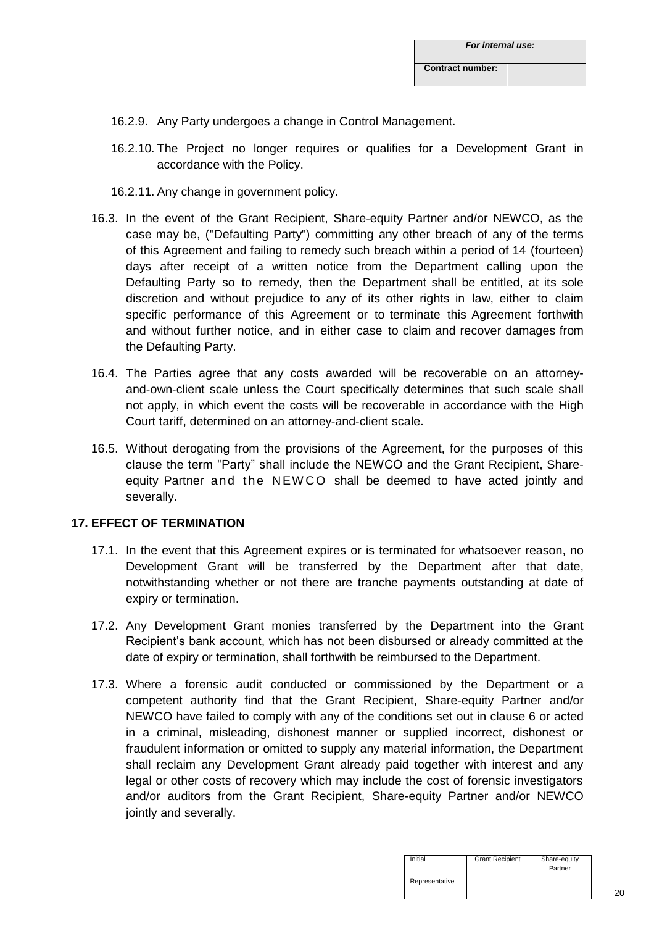- 16.2.9. Any Party undergoes a change in Control Management.
- 16.2.10. The Project no longer requires or qualifies for a Development Grant in accordance with the Policy.
- 16.2.11. Any change in government policy.
- 16.3. In the event of the Grant Recipient, Share-equity Partner and/or NEWCO, as the case may be, ("Defaulting Party") committing any other breach of any of the terms of this Agreement and failing to remedy such breach within a period of 14 (fourteen) days after receipt of a written notice from the Department calling upon the Defaulting Party so to remedy, then the Department shall be entitled, at its sole discretion and without prejudice to any of its other rights in law, either to claim specific performance of this Agreement or to terminate this Agreement forthwith and without further notice, and in either case to claim and recover damages from the Defaulting Party.
- 16.4. The Parties agree that any costs awarded will be recoverable on an attorneyand-own-client scale unless the Court specifically determines that such scale shall not apply, in which event the costs will be recoverable in accordance with the High Court tariff, determined on an attorney-and-client scale.
- 16.5. Without derogating from the provisions of the Agreement, for the purposes of this clause the term "Party" shall include the NEWCO and the Grant Recipient, Shareequity Partner and the NEWCO shall be deemed to have acted jointly and severally.

# **17. EFFECT OF TERMINATION**

- 17.1. In the event that this Agreement expires or is terminated for whatsoever reason, no Development Grant will be transferred by the Department after that date, notwithstanding whether or not there are tranche payments outstanding at date of expiry or termination.
- 17.2. Any Development Grant monies transferred by the Department into the Grant Recipient's bank account, which has not been disbursed or already committed at the date of expiry or termination, shall forthwith be reimbursed to the Department.
- 17.3. Where a forensic audit conducted or commissioned by the Department or a competent authority find that the Grant Recipient, Share-equity Partner and/or NEWCO have failed to comply with any of the conditions set out in clause 6 or acted in a criminal, misleading, dishonest manner or supplied incorrect, dishonest or fraudulent information or omitted to supply any material information, the Department shall reclaim any Development Grant already paid together with interest and any legal or other costs of recovery which may include the cost of forensic investigators and/or auditors from the Grant Recipient, Share-equity Partner and/or NEWCO jointly and severally.

| Initial        | <b>Grant Recipient</b> | Share-equity<br>Partner |
|----------------|------------------------|-------------------------|
| Representative |                        |                         |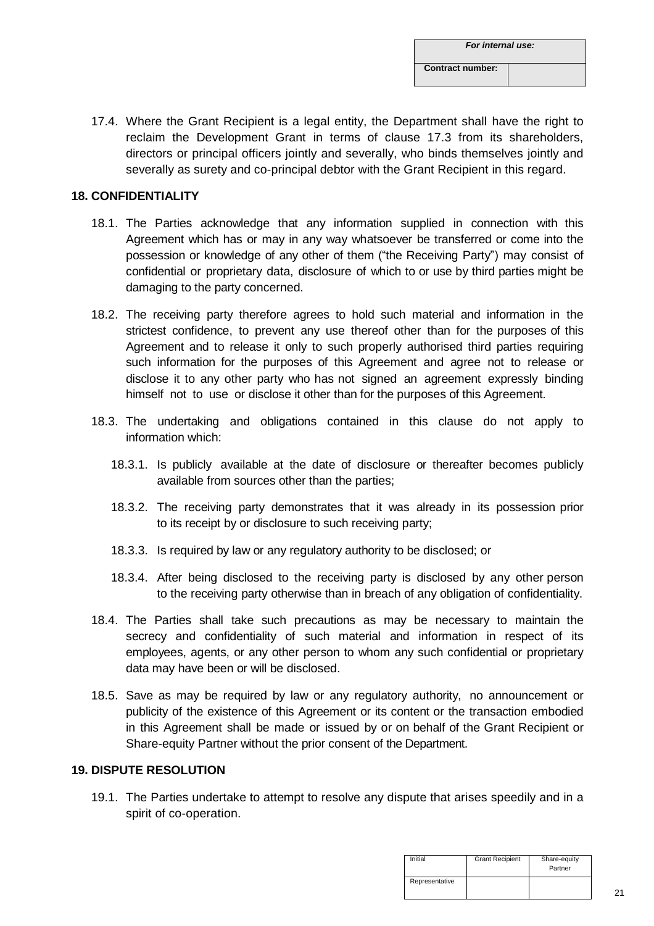| For internal use:       |  |
|-------------------------|--|
| <b>Contract number:</b> |  |

17.4. Where the Grant Recipient is a legal entity, the Department shall have the right to reclaim the Development Grant in terms of clause 17.3 from its shareholders, directors or principal officers jointly and severally, who binds themselves jointly and severally as surety and co-principal debtor with the Grant Recipient in this regard.

### **18. CONFIDENTIALITY**

- 18.1. The Parties acknowledge that any information supplied in connection with this Agreement which has or may in any way whatsoever be transferred or come into the possession or knowledge of any other of them ("the Receiving Party") may consist of confidential or proprietary data, disclosure of which to or use by third parties might be damaging to the party concerned.
- 18.2. The receiving party therefore agrees to hold such material and information in the strictest confidence, to prevent any use thereof other than for the purposes of this Agreement and to release it only to such properly authorised third parties requiring such information for the purposes of this Agreement and agree not to release or disclose it to any other party who has not signed an agreement expressly binding himself not to use or disclose it other than for the purposes of this Agreement.
- 18.3. The undertaking and obligations contained in this clause do not apply to information which:
	- 18.3.1. Is publicly available at the date of disclosure or thereafter becomes publicly available from sources other than the parties;
	- 18.3.2. The receiving party demonstrates that it was already in its possession prior to its receipt by or disclosure to such receiving party;
	- 18.3.3. Is required by law or any regulatory authority to be disclosed; or
	- 18.3.4. After being disclosed to the receiving party is disclosed by any other person to the receiving party otherwise than in breach of any obligation of confidentiality.
- 18.4. The Parties shall take such precautions as may be necessary to maintain the secrecy and confidentiality of such material and information in respect of its employees, agents, or any other person to whom any such confidential or proprietary data may have been or will be disclosed.
- 18.5. Save as may be required by law or any regulatory authority, no announcement or publicity of the existence of this Agreement or its content or the transaction embodied in this Agreement shall be made or issued by or on behalf of the Grant Recipient or Share-equity Partner without the prior consent of the Department.

# **19. DISPUTE RESOLUTION**

19.1. The Parties undertake to attempt to resolve any dispute that arises speedily and in a spirit of co-operation.

| Initial        | <b>Grant Recipient</b> | Share-equity<br>Partner |
|----------------|------------------------|-------------------------|
| Representative |                        |                         |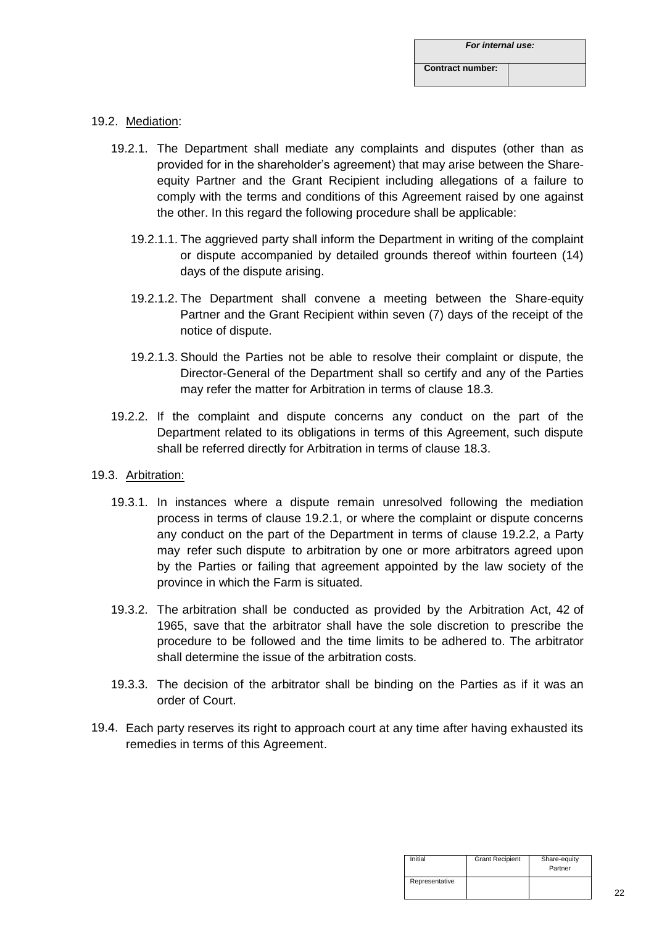# 19.2. Mediation:

- 19.2.1. The Department shall mediate any complaints and disputes (other than as provided for in the shareholder's agreement) that may arise between the Shareequity Partner and the Grant Recipient including allegations of a failure to comply with the terms and conditions of this Agreement raised by one against the other. In this regard the following procedure shall be applicable:
	- 19.2.1.1. The aggrieved party shall inform the Department in writing of the complaint or dispute accompanied by detailed grounds thereof within fourteen (14) days of the dispute arising.
	- 19.2.1.2. The Department shall convene a meeting between the Share-equity Partner and the Grant Recipient within seven (7) days of the receipt of the notice of dispute.
	- 19.2.1.3. Should the Parties not be able to resolve their complaint or dispute, the Director-General of the Department shall so certify and any of the Parties may refer the matter for Arbitration in terms of clause 18.3.
- 19.2.2. If the complaint and dispute concerns any conduct on the part of the Department related to its obligations in terms of this Agreement, such dispute shall be referred directly for Arbitration in terms of clause 18.3.
- 19.3. Arbitration:
	- 19.3.1. In instances where a dispute remain unresolved following the mediation process in terms of clause 19.2.1, or where the complaint or dispute concerns any conduct on the part of the Department in terms of clause 19.2.2, a Party may refer such dispute to arbitration by one or more arbitrators agreed upon by the Parties or failing that agreement appointed by the law society of the province in which the Farm is situated.
	- 19.3.2. The arbitration shall be conducted as provided by the Arbitration Act, 42 of 1965, save that the arbitrator shall have the sole discretion to prescribe the procedure to be followed and the time limits to be adhered to. The arbitrator shall determine the issue of the arbitration costs.
	- 19.3.3. The decision of the arbitrator shall be binding on the Parties as if it was an order of Court.
- 19.4. Each party reserves its right to approach court at any time after having exhausted its remedies in terms of this Agreement.

| Initial        | <b>Grant Recipient</b> | Share-equity<br>Partner |
|----------------|------------------------|-------------------------|
| Representative |                        |                         |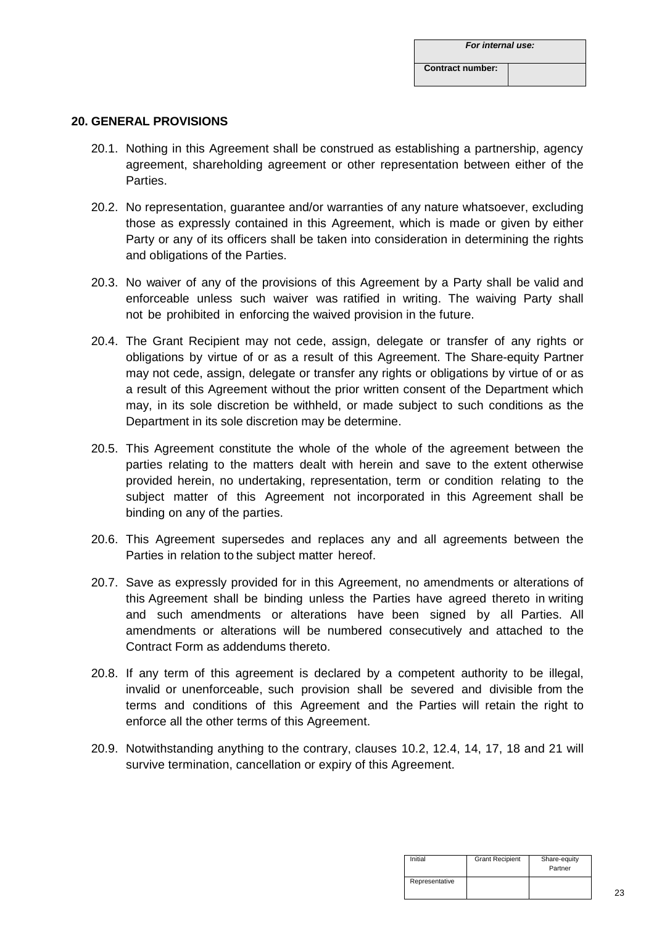#### **20. GENERAL PROVISIONS**

- 20.1. Nothing in this Agreement shall be construed as establishing a partnership, agency agreement, shareholding agreement or other representation between either of the Parties.
- 20.2. No representation, guarantee and/or warranties of any nature whatsoever, excluding those as expressly contained in this Agreement, which is made or given by either Party or any of its officers shall be taken into consideration in determining the rights and obligations of the Parties.
- 20.3. No waiver of any of the provisions of this Agreement by a Party shall be valid and enforceable unless such waiver was ratified in writing. The waiving Party shall not be prohibited in enforcing the waived provision in the future.
- 20.4. The Grant Recipient may not cede, assign, delegate or transfer of any rights or obligations by virtue of or as a result of this Agreement. The Share-equity Partner may not cede, assign, delegate or transfer any rights or obligations by virtue of or as a result of this Agreement without the prior written consent of the Department which may, in its sole discretion be withheld, or made subject to such conditions as the Department in its sole discretion may be determine.
- 20.5. This Agreement constitute the whole of the whole of the agreement between the parties relating to the matters dealt with herein and save to the extent otherwise provided herein, no undertaking, representation, term or condition relating to the subject matter of this Agreement not incorporated in this Agreement shall be binding on any of the parties.
- 20.6. This Agreement supersedes and replaces any and all agreements between the Parties in relation to the subject matter hereof.
- 20.7. Save as expressly provided for in this Agreement, no amendments or alterations of this Agreement shall be binding unless the Parties have agreed thereto in writing and such amendments or alterations have been signed by all Parties. All amendments or alterations will be numbered consecutively and attached to the Contract Form as addendums thereto.
- 20.8. If any term of this agreement is declared by a competent authority to be illegal, invalid or unenforceable, such provision shall be severed and divisible from the terms and conditions of this Agreement and the Parties will retain the right to enforce all the other terms of this Agreement.
- 20.9. Notwithstanding anything to the contrary, clauses 10.2, 12.4, 14, 17, 18 and 21 will survive termination, cancellation or expiry of this Agreement.

| Initial        | <b>Grant Recipient</b> | Share-equity<br>Partner |
|----------------|------------------------|-------------------------|
| Representative |                        |                         |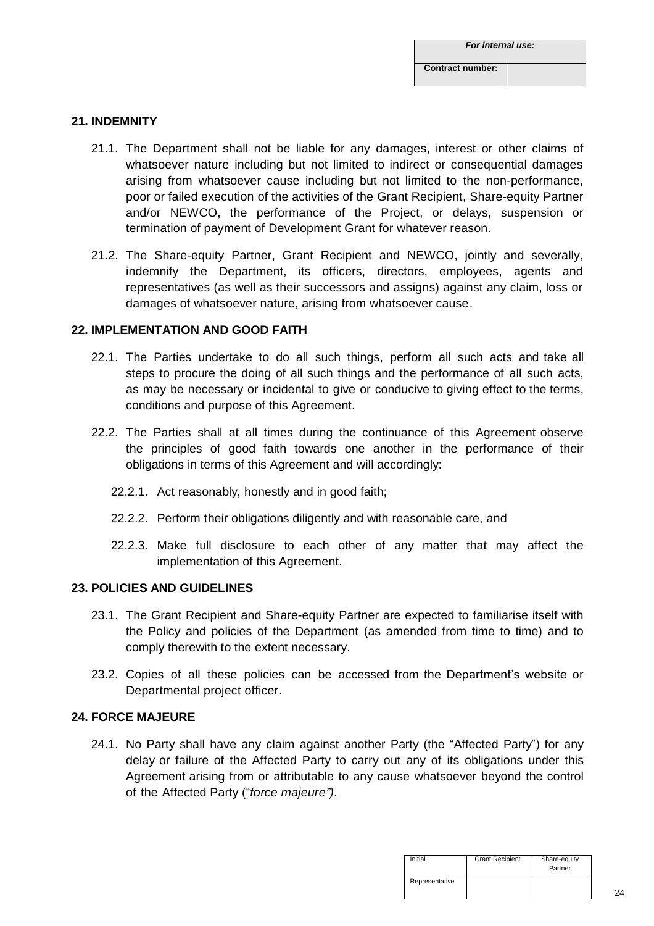# **21. INDEMNITY**

- 21.1. The Department shall not be liable for any damages, interest or other claims of whatsoever nature including but not limited to indirect or consequential damages arising from whatsoever cause including but not limited to the non-performance, poor or failed execution of the activities of the Grant Recipient, Share-equity Partner and/or NEWCO, the performance of the Project, or delays, suspension or termination of payment of Development Grant for whatever reason.
- 21.2. The Share-equity Partner, Grant Recipient and NEWCO, jointly and severally, indemnify the Department, its officers, directors, employees, agents and representatives (as well as their successors and assigns) against any claim, loss or damages of whatsoever nature, arising from whatsoever cause.

# **22. IMPLEMENTATION AND GOOD FAITH**

- 22.1. The Parties undertake to do all such things, perform all such acts and take all steps to procure the doing of all such things and the performance of all such acts, as may be necessary or incidental to give or conducive to giving effect to the terms, conditions and purpose of this Agreement.
- 22.2. The Parties shall at all times during the continuance of this Agreement observe the principles of good faith towards one another in the performance of their obligations in terms of this Agreement and will accordingly:
	- 22.2.1. Act reasonably, honestly and in good faith;
	- 22.2.2. Perform their obligations diligently and with reasonable care, and
	- 22.2.3. Make full disclosure to each other of any matter that may affect the implementation of this Agreement.

# **23. POLICIES AND GUIDELINES**

- 23.1. The Grant Recipient and Share-equity Partner are expected to familiarise itself with the Policy and policies of the Department (as amended from time to time) and to comply therewith to the extent necessary.
- 23.2. Copies of all these policies can be accessed from the Department's website or Departmental project officer.

# **24. FORCE MAJEURE**

24.1. No Party shall have any claim against another Party (the "Affected Party") for any delay or failure of the Affected Party to carry out any of its obligations under this Agreement arising from or attributable to any cause whatsoever beyond the control of the Affected Party ("*force majeure")*.

| Initial        | <b>Grant Recipient</b> | Share-equity<br>Partner |
|----------------|------------------------|-------------------------|
| Representative |                        |                         |